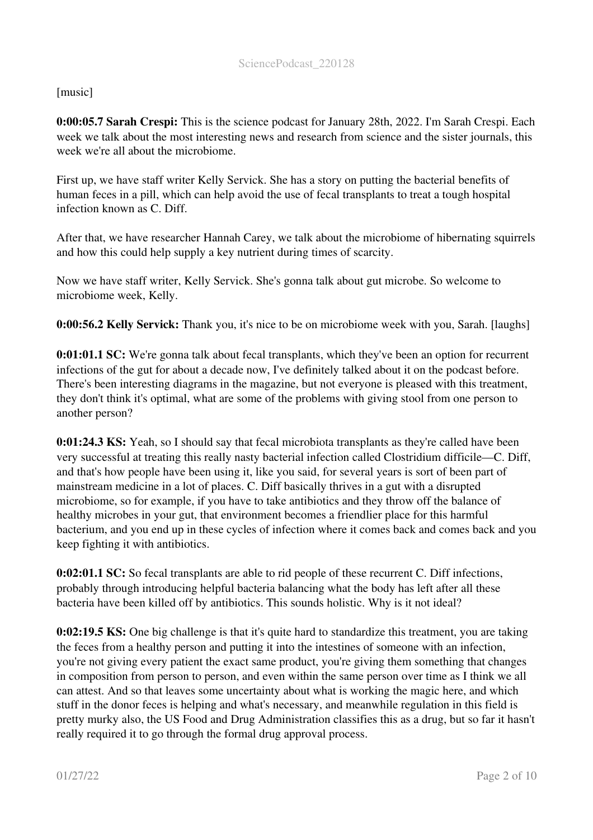## [music]

0:00:05.7 Sarah Crespi: This is the science podcast for January 28th, 2022. I'm Sarah Crespi. Each week we talk about the most interesting news and research from science and the sister journals, this week we're all about the microbiome.

First up, we have staff writer Kelly Servick. She has a story on putting the bacterial benefits of human feces in a pill, which can help avoid the use of fecal transplants to treat a tough hospital infection known as C. Diff.

After that, we have researcher Hannah Carey, we talk about the microbiome of hibernating squirrels and how this could help supply a key nutrient during times of scarcity.

Now we have staff writer, Kelly Servick. She's gonna talk about gut microbe. So welcome to microbiome week, Kelly.

0:00:56.2 Kelly Servick: Thank you, it's nice to be on microbiome week with you, Sarah. [laughs]

0:01:01.1 SC: We're gonna talk about fecal transplants, which they've been an option for recurrent infections of the gut for about a decade now, I've definitely talked about it on the podcast before. There's been interesting diagrams in the magazine, but not everyone is pleased with this treatment, they don't think it's optimal, what are some of the problems with giving stool from one person to another person?

0:01:24.3 KS: Yeah, so I should say that fecal microbiota transplants as they're called have been very successful at treating this really nasty bacterial infection called Clostridium difficile—C. Diff, and that's how people have been using it, like you said, for several years is sort of been part of mainstream medicine in a lot of places. C. Diff basically thrives in a gut with a disrupted microbiome, so for example, if you have to take antibiotics and they throw off the balance of healthy microbes in your gut, that environment becomes a friendlier place for this harmful bacterium, and you end up in these cycles of infection where it comes back and comes back and you keep fighting it with antibiotics.

0:02:01.1 SC: So fecal transplants are able to rid people of these recurrent C. Diff infections, probably through introducing helpful bacteria balancing what the body has left after all these bacteria have been killed off by antibiotics. This sounds holistic. Why is it not ideal?

0:02:19.5 KS: One big challenge is that it's quite hard to standardize this treatment, you are taking the feces from a healthy person and putting it into the intestines of someone with an infection, you're not giving every patient the exact same product, you're giving them something that changes in composition from person to person, and even within the same person over time as I think we all can attest. And so that leaves some uncertainty about what is working the magic here, and which stuff in the donor feces is helping and what's necessary, and meanwhile regulation in this field is pretty murky also, the US Food and Drug Administration classifies this as a drug, but so far it hasn't really required it to go through the formal drug approval process.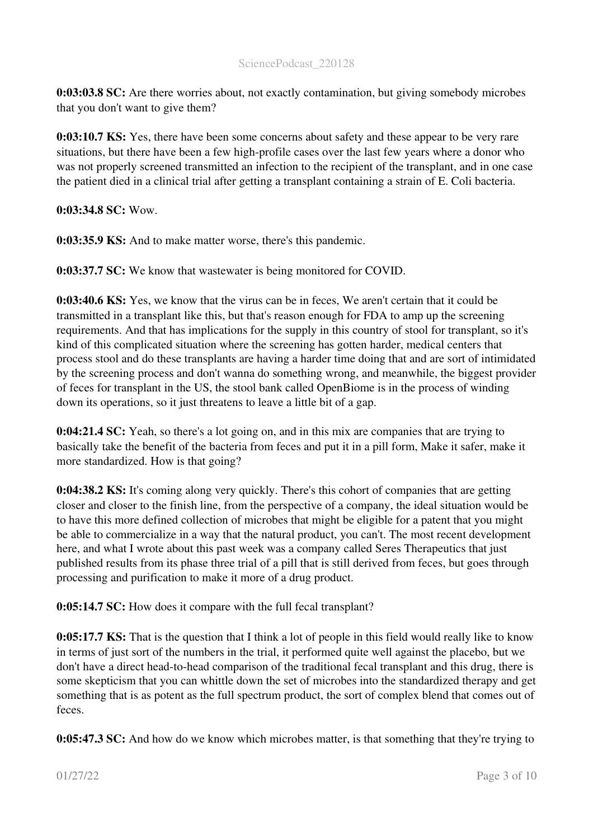0:03:03.8 SC: Are there worries about, not exactly contamination, but giving somebody microbes that you don't want to give them?

0:03:10.7 KS: Yes, there have been some concerns about safety and these appear to be very rare situations, but there have been a few high-profile cases over the last few years where a donor who was not properly screened transmitted an infection to the recipient of the transplant, and in one case the patient died in a clinical trial after getting a transplant containing a strain of E. Coli bacteria.

0:03:34.8 SC: Wow.

0:03:35.9 KS: And to make matter worse, there's this pandemic.

0:03:37.7 SC: We know that wastewater is being monitored for COVID.

0:03:40.6 KS: Yes, we know that the virus can be in feces, We aren't certain that it could be transmitted in a transplant like this, but that's reason enough for FDA to amp up the screening requirements. And that has implications for the supply in this country of stool for transplant, so it's kind of this complicated situation where the screening has gotten harder, medical centers that process stool and do these transplants are having a harder time doing that and are sort of intimidated by the screening process and don't wanna do something wrong, and meanwhile, the biggest provider of feces for transplant in the US, the stool bank called OpenBiome is in the process of winding down its operations, so it just threatens to leave a little bit of a gap.

0:04:21.4 SC: Yeah, so there's a lot going on, and in this mix are companies that are trying to basically take the benefit of the bacteria from feces and put it in a pill form, Make it safer, make it more standardized. How is that going?

0:04:38.2 KS: It's coming along very quickly. There's this cohort of companies that are getting closer and closer to the finish line, from the perspective of a company, the ideal situation would be to have this more defined collection of microbes that might be eligible for a patent that you might be able to commercialize in a way that the natural product, you can't. The most recent development here, and what I wrote about this past week was a company called Seres Therapeutics that just published results from its phase three trial of a pill that is still derived from feces, but goes through processing and purification to make it more of a drug product.

0:05:14.7 SC: How does it compare with the full fecal transplant?

0:05:17.7 KS: That is the question that I think a lot of people in this field would really like to know in terms of just sort of the numbers in the trial, it performed quite well against the placebo, but we don't have a direct head-to-head comparison of the traditional fecal transplant and this drug, there is some skepticism that you can whittle down the set of microbes into the standardized therapy and get something that is as potent as the full spectrum product, the sort of complex blend that comes out of feces.

0:05:47.3 SC: And how do we know which microbes matter, is that something that they're trying to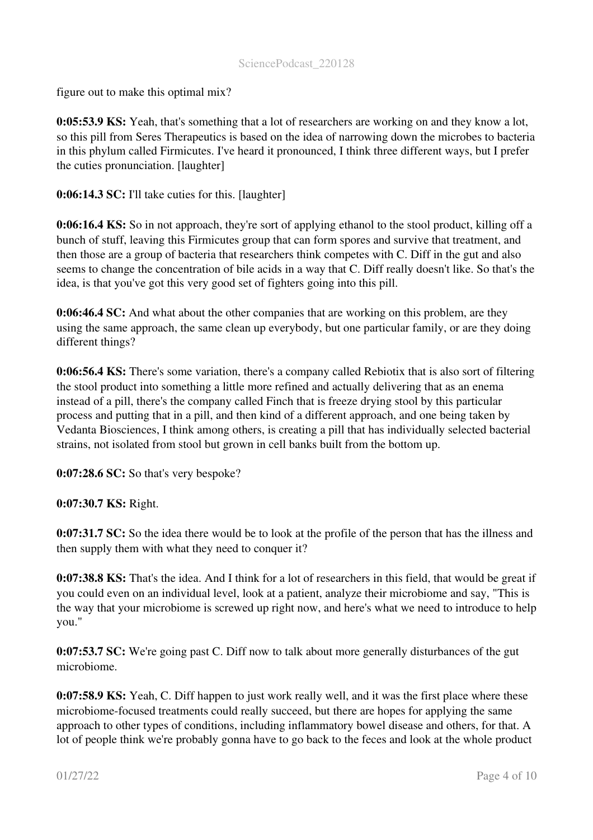## SciencePodcast\_220128

figure out to make this optimal mix?

0:05:53.9 KS: Yeah, that's something that a lot of researchers are working on and they know a lot, so this pill from Seres Therapeutics is based on the idea of narrowing down the microbes to bacteria in this phylum called Firmicutes. I've heard it pronounced, I think three different ways, but I prefer the cuties pronunciation. [laughter]

0:06:14.3 SC: I'll take cuties for this. [laughter]

0:06:16.4 KS: So in not approach, they're sort of applying ethanol to the stool product, killing off a bunch of stuff, leaving this Firmicutes group that can form spores and survive that treatment, and then those are a group of bacteria that researchers think competes with C. Diff in the gut and also seems to change the concentration of bile acids in a way that C. Diff really doesn't like. So that's the idea, is that you've got this very good set of fighters going into this pill.

0:06:46.4 SC: And what about the other companies that are working on this problem, are they using the same approach, the same clean up everybody, but one particular family, or are they doing different things?

0:06:56.4 KS: There's some variation, there's a company called Rebiotix that is also sort of filtering the stool product into something a little more refined and actually delivering that as an enema instead of a pill, there's the company called Finch that is freeze drying stool by this particular process and putting that in a pill, and then kind of a different approach, and one being taken by Vedanta Biosciences, I think among others, is creating a pill that has individually selected bacterial strains, not isolated from stool but grown in cell banks built from the bottom up.

0:07:28.6 SC: So that's very bespoke?

0:07:30.7 KS: Right.

0:07:31.7 SC: So the idea there would be to look at the profile of the person that has the illness and then supply them with what they need to conquer it?

0:07:38.8 KS: That's the idea. And I think for a lot of researchers in this field, that would be great if you could even on an individual level, look at a patient, analyze their microbiome and say, "This is the way that your microbiome is screwed up right now, and here's what we need to introduce to help you."

0:07:53.7 SC: We're going past C. Diff now to talk about more generally disturbances of the gut microbiome.

0:07:58.9 KS: Yeah, C. Diff happen to just work really well, and it was the first place where these microbiome-focused treatments could really succeed, but there are hopes for applying the same approach to other types of conditions, including inflammatory bowel disease and others, for that. A lot of people think we're probably gonna have to go back to the feces and look at the whole product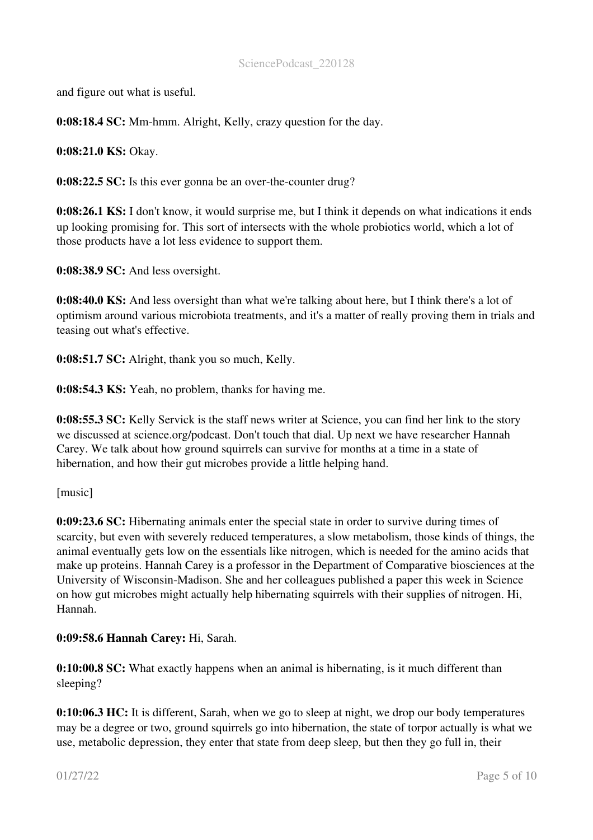and figure out what is useful.

0:08:18.4 SC: Mm-hmm. Alright, Kelly, crazy question for the day.

0:08:21.0 KS: Okay.

0:08:22.5 SC: Is this ever gonna be an over-the-counter drug?

0:08:26.1 KS: I don't know, it would surprise me, but I think it depends on what indications it ends up looking promising for. This sort of intersects with the whole probiotics world, which a lot of those products have a lot less evidence to support them.

0:08:38.9 SC: And less oversight.

0:08:40.0 KS: And less oversight than what we're talking about here, but I think there's a lot of optimism around various microbiota treatments, and it's a matter of really proving them in trials and teasing out what's effective.

0:08:51.7 SC: Alright, thank you so much, Kelly.

0:08:54.3 KS: Yeah, no problem, thanks for having me.

0:08:55.3 SC: Kelly Servick is the staff news writer at Science, you can find her link to the story we discussed at science.org/podcast. Don't touch that dial. Up next we have researcher Hannah Carey. We talk about how ground squirrels can survive for months at a time in a state of hibernation, and how their gut microbes provide a little helping hand.

[music]

0:09:23.6 SC: Hibernating animals enter the special state in order to survive during times of scarcity, but even with severely reduced temperatures, a slow metabolism, those kinds of things, the animal eventually gets low on the essentials like nitrogen, which is needed for the amino acids that make up proteins. Hannah Carey is a professor in the Department of Comparative biosciences at the University of Wisconsin-Madison. She and her colleagues published a paper this week in Science on how gut microbes might actually help hibernating squirrels with their supplies of nitrogen. Hi, Hannah.

0:09:58.6 Hannah Carey: Hi, Sarah.

0:10:00.8 SC: What exactly happens when an animal is hibernating, is it much different than sleeping?

0:10:06.3 HC: It is different, Sarah, when we go to sleep at night, we drop our body temperatures may be a degree or two, ground squirrels go into hibernation, the state of torpor actually is what we use, metabolic depression, they enter that state from deep sleep, but then they go full in, their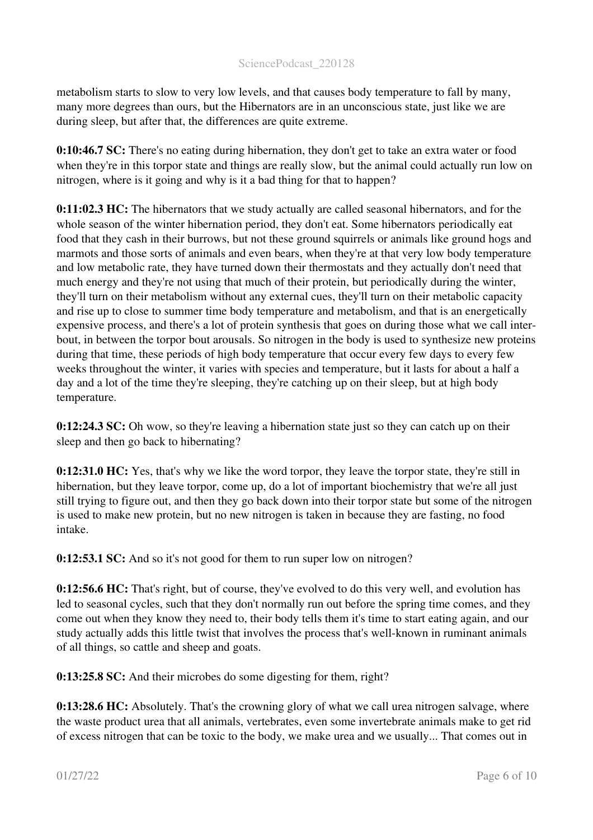metabolism starts to slow to very low levels, and that causes body temperature to fall by many, many more degrees than ours, but the Hibernators are in an unconscious state, just like we are during sleep, but after that, the differences are quite extreme.

0:10:46.7 SC: There's no eating during hibernation, they don't get to take an extra water or food when they're in this torpor state and things are really slow, but the animal could actually run low on nitrogen, where is it going and why is it a bad thing for that to happen?

0:11:02.3 HC: The hibernators that we study actually are called seasonal hibernators, and for the whole season of the winter hibernation period, they don't eat. Some hibernators periodically eat food that they cash in their burrows, but not these ground squirrels or animals like ground hogs and marmots and those sorts of animals and even bears, when they're at that very low body temperature and low metabolic rate, they have turned down their thermostats and they actually don't need that much energy and they're not using that much of their protein, but periodically during the winter, they'll turn on their metabolism without any external cues, they'll turn on their metabolic capacity and rise up to close to summer time body temperature and metabolism, and that is an energetically expensive process, and there's a lot of protein synthesis that goes on during those what we call interbout, in between the torpor bout arousals. So nitrogen in the body is used to synthesize new proteins during that time, these periods of high body temperature that occur every few days to every few weeks throughout the winter, it varies with species and temperature, but it lasts for about a half a day and a lot of the time they're sleeping, they're catching up on their sleep, but at high body temperature.

0:12:24.3 SC: Oh wow, so they're leaving a hibernation state just so they can catch up on their sleep and then go back to hibernating?

0:12:31.0 HC: Yes, that's why we like the word torpor, they leave the torpor state, they're still in hibernation, but they leave torpor, come up, do a lot of important biochemistry that we're all just still trying to figure out, and then they go back down into their torpor state but some of the nitrogen is used to make new protein, but no new nitrogen is taken in because they are fasting, no food intake.

0:12:53.1 SC: And so it's not good for them to run super low on nitrogen?

0:12:56.6 HC: That's right, but of course, they've evolved to do this very well, and evolution has led to seasonal cycles, such that they don't normally run out before the spring time comes, and they come out when they know they need to, their body tells them it's time to start eating again, and our study actually adds this little twist that involves the process that's well-known in ruminant animals of all things, so cattle and sheep and goats.

0:13:25.8 SC: And their microbes do some digesting for them, right?

0:13:28.6 HC: Absolutely. That's the crowning glory of what we call urea nitrogen salvage, where the waste product urea that all animals, vertebrates, even some invertebrate animals make to get rid of excess nitrogen that can be toxic to the body, we make urea and we usually... That comes out in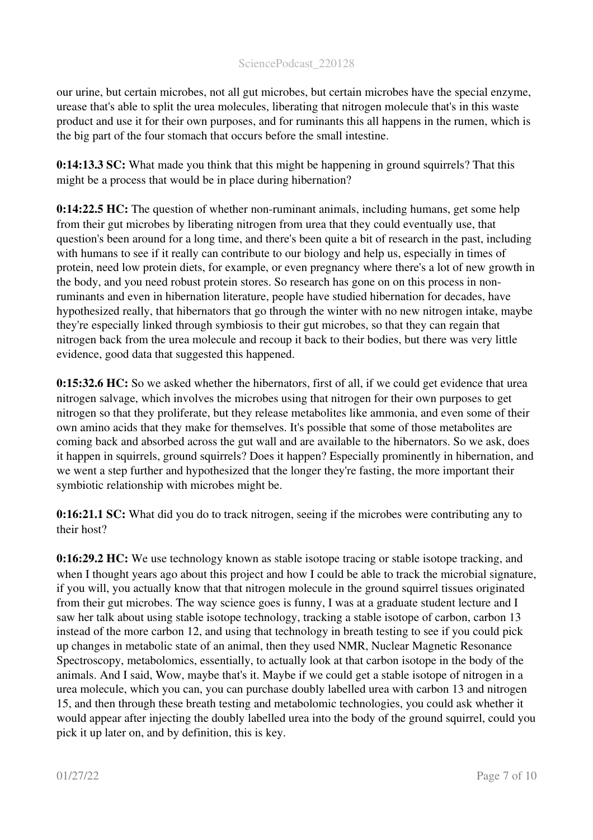our urine, but certain microbes, not all gut microbes, but certain microbes have the special enzyme, urease that's able to split the urea molecules, liberating that nitrogen molecule that's in this waste product and use it for their own purposes, and for ruminants this all happens in the rumen, which is the big part of the four stomach that occurs before the small intestine.

0:14:13.3 SC: What made you think that this might be happening in ground squirrels? That this might be a process that would be in place during hibernation?

0:14:22.5 HC: The question of whether non-ruminant animals, including humans, get some help from their gut microbes by liberating nitrogen from urea that they could eventually use, that question's been around for a long time, and there's been quite a bit of research in the past, including with humans to see if it really can contribute to our biology and help us, especially in times of protein, need low protein diets, for example, or even pregnancy where there's a lot of new growth in the body, and you need robust protein stores. So research has gone on on this process in nonruminants and even in hibernation literature, people have studied hibernation for decades, have hypothesized really, that hibernators that go through the winter with no new nitrogen intake, maybe they're especially linked through symbiosis to their gut microbes, so that they can regain that nitrogen back from the urea molecule and recoup it back to their bodies, but there was very little evidence, good data that suggested this happened.

0:15:32.6 HC: So we asked whether the hibernators, first of all, if we could get evidence that urea nitrogen salvage, which involves the microbes using that nitrogen for their own purposes to get nitrogen so that they proliferate, but they release metabolites like ammonia, and even some of their own amino acids that they make for themselves. It's possible that some of those metabolites are coming back and absorbed across the gut wall and are available to the hibernators. So we ask, does it happen in squirrels, ground squirrels? Does it happen? Especially prominently in hibernation, and we went a step further and hypothesized that the longer they're fasting, the more important their symbiotic relationship with microbes might be.

0:16:21.1 SC: What did you do to track nitrogen, seeing if the microbes were contributing any to their host?

0:16:29.2 HC: We use technology known as stable isotope tracing or stable isotope tracking, and when I thought years ago about this project and how I could be able to track the microbial signature, if you will, you actually know that that nitrogen molecule in the ground squirrel tissues originated from their gut microbes. The way science goes is funny, I was at a graduate student lecture and I saw her talk about using stable isotope technology, tracking a stable isotope of carbon, carbon 13 instead of the more carbon 12, and using that technology in breath testing to see if you could pick up changes in metabolic state of an animal, then they used NMR, Nuclear Magnetic Resonance Spectroscopy, metabolomics, essentially, to actually look at that carbon isotope in the body of the animals. And I said, Wow, maybe that's it. Maybe if we could get a stable isotope of nitrogen in a urea molecule, which you can, you can purchase doubly labelled urea with carbon 13 and nitrogen 15, and then through these breath testing and metabolomic technologies, you could ask whether it would appear after injecting the doubly labelled urea into the body of the ground squirrel, could you pick it up later on, and by definition, this is key.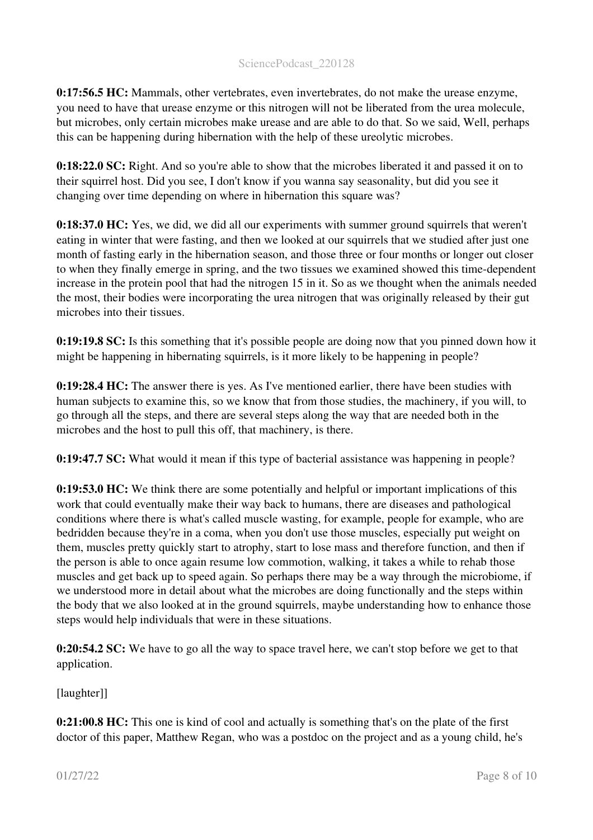0:17:56.5 HC: Mammals, other vertebrates, even invertebrates, do not make the urease enzyme, you need to have that urease enzyme or this nitrogen will not be liberated from the urea molecule, but microbes, only certain microbes make urease and are able to do that. So we said, Well, perhaps this can be happening during hibernation with the help of these ureolytic microbes.

0:18:22.0 SC: Right. And so you're able to show that the microbes liberated it and passed it on to their squirrel host. Did you see, I don't know if you wanna say seasonality, but did you see it changing over time depending on where in hibernation this square was?

0:18:37.0 HC: Yes, we did, we did all our experiments with summer ground squirrels that weren't eating in winter that were fasting, and then we looked at our squirrels that we studied after just one month of fasting early in the hibernation season, and those three or four months or longer out closer to when they finally emerge in spring, and the two tissues we examined showed this time-dependent increase in the protein pool that had the nitrogen 15 in it. So as we thought when the animals needed the most, their bodies were incorporating the urea nitrogen that was originally released by their gut microbes into their tissues.

0:19:19.8 SC: Is this something that it's possible people are doing now that you pinned down how it might be happening in hibernating squirrels, is it more likely to be happening in people?

0:19:28.4 HC: The answer there is yes. As I've mentioned earlier, there have been studies with human subjects to examine this, so we know that from those studies, the machinery, if you will, to go through all the steps, and there are several steps along the way that are needed both in the microbes and the host to pull this off, that machinery, is there.

0:19:47.7 SC: What would it mean if this type of bacterial assistance was happening in people?

0:19:53.0 HC: We think there are some potentially and helpful or important implications of this work that could eventually make their way back to humans, there are diseases and pathological conditions where there is what's called muscle wasting, for example, people for example, who are bedridden because they're in a coma, when you don't use those muscles, especially put weight on them, muscles pretty quickly start to atrophy, start to lose mass and therefore function, and then if the person is able to once again resume low commotion, walking, it takes a while to rehab those muscles and get back up to speed again. So perhaps there may be a way through the microbiome, if we understood more in detail about what the microbes are doing functionally and the steps within the body that we also looked at in the ground squirrels, maybe understanding how to enhance those steps would help individuals that were in these situations.

0:20:54.2 SC: We have to go all the way to space travel here, we can't stop before we get to that application.

[laughter]]

0:21:00.8 HC: This one is kind of cool and actually is something that's on the plate of the first doctor of this paper, Matthew Regan, who was a postdoc on the project and as a young child, he's